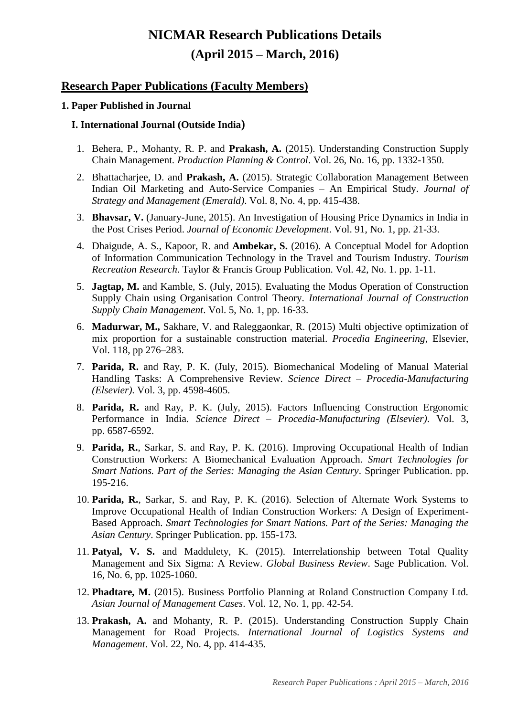# **NICMAR Research Publications Details (April 2015 – March, 2016)**

## **Research Paper Publications (Faculty Members)**

## **1. Paper Published in Journal**

## **I. International Journal (Outside India)**

- 1. Behera, P., Mohanty, R. P. and **Prakash, A.** (2015). Understanding Construction Supply Chain Management*. Production Planning & Control*. Vol. 26, No. 16, pp. 1332-1350.
- 2. Bhattacharjee, D. and **Prakash, A.** (2015). Strategic Collaboration Management Between Indian Oil Marketing and Auto-Service Companies – An Empirical Study. *Journal of Strategy and Management (Emerald)*. Vol. 8, No. 4, pp. 415-438.
- 3. **Bhavsar, V.** (January-June, 2015). An Investigation of Housing Price Dynamics in India in the Post Crises Period. *Journal of Economic Development*. Vol. 91, No. 1, pp. 21-33.
- 4. Dhaigude, A. S., Kapoor, R. and **Ambekar, S.** (2016). A Conceptual Model for Adoption of Information Communication Technology in the Travel and Tourism Industry. *Tourism Recreation Research*. Taylor & Francis Group Publication. Vol. 42, No. 1. pp. 1-11.
- 5. **Jagtap, M.** and Kamble, S. (July, 2015). Evaluating the Modus Operation of Construction Supply Chain using Organisation Control Theory. *International Journal of Construction Supply Chain Management*. Vol. 5, No. 1, pp. 16-33.
- 6. **Madurwar, M.,** Sakhare, V. and Raleggaonkar, R. (2015) Multi objective optimization of mix proportion for a sustainable construction material. *Procedia Engineering*, Elsevier, Vol. 118, pp 276–283.
- 7. **Parida, R.** and Ray, P. K. (July, 2015). Biomechanical Modeling of Manual Material Handling Tasks: A Comprehensive Review. *Science Direct – Procedia-Manufacturing (Elsevier)*. Vol. 3, pp. 4598-4605.
- 8. **Parida, R.** and Ray, P. K. (July, 2015). Factors Influencing Construction Ergonomic Performance in India. *Science Direct – Procedia-Manufacturing (Elsevier)*. Vol. 3, pp. 6587-6592.
- 9. **Parida, R.**, Sarkar, S. and Ray, P. K. (2016). Improving Occupational Health of Indian Construction Workers: A Biomechanical Evaluation Approach. *Smart Technologies for Smart Nations. Part of the Series: Managing the Asian Century*. Springer Publication. pp. 195-216.
- 10. **Parida, R.**, Sarkar, S. and Ray, P. K. (2016). Selection of Alternate Work Systems to Improve Occupational Health of Indian Construction Workers: A Design of Experiment-Based Approach. *Smart Technologies for Smart Nations. Part of the Series: Managing the Asian Century*. Springer Publication. pp. 155-173.
- 11. **Patyal, V. S.** and Maddulety, K. (2015). Interrelationship between Total Quality Management and Six Sigma: A Review. *Global Business Review*. Sage Publication. Vol. 16, No. 6, pp. 1025-1060.
- 12. **Phadtare, M.** (2015). Business Portfolio Planning at Roland Construction Company Ltd. *Asian Journal of Management Cases*. Vol. 12, No. 1, pp. 42-54.
- 13. **Prakash, A.** and Mohanty, R. P. (2015). Understanding Construction Supply Chain Management for Road Projects. *International Journal of Logistics Systems and Management*. Vol. 22, No. 4, pp. 414-435.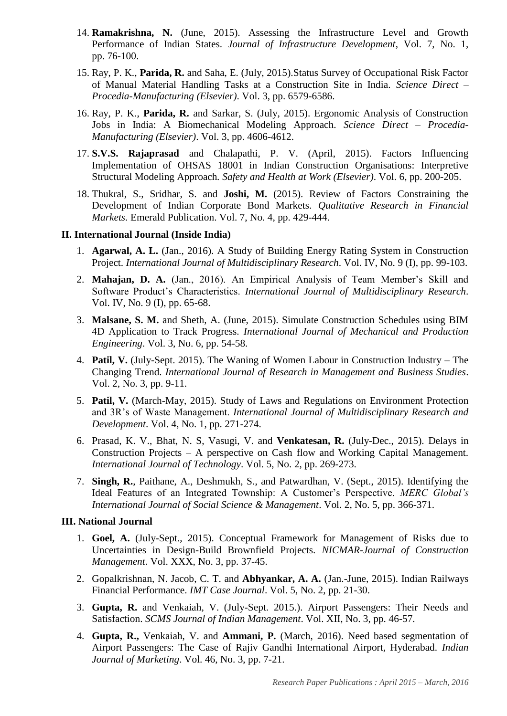- 14. **Ramakrishna, N.** (June, 2015). Assessing the Infrastructure Level and Growth Performance of Indian States. *Journal of Infrastructure Development*, Vol. 7, No. 1, pp. 76-100.
- 15. Ray, P. K., **Parida, R.** and Saha, E. (July, 2015).Status Survey of Occupational Risk Factor of Manual Material Handling Tasks at a Construction Site in India. *Science Direct – Procedia-Manufacturing (Elsevier)*. Vol. 3, pp. 6579-6586.
- 16. Ray, P. K., **Parida, R.** and Sarkar, S. (July, 2015). Ergonomic Analysis of Construction Jobs in India: A Biomechanical Modeling Approach. *Science Direct – Procedia-Manufacturing (Elsevier)*. Vol. 3, pp. 4606-4612.
- 17. **S.V.S. Rajaprasad** and Chalapathi, P. V. (April, 2015). Factors Influencing Implementation of OHSAS 18001 in Indian Construction Organisations: Interpretive Structural Modeling Approach*. Safety and Health at Work (Elsevier)*. Vol. 6, pp. 200-205.
- 18. Thukral, S., Sridhar, S. and **Joshi, M.** (2015). Review of Factors Constraining the Development of Indian Corporate Bond Markets. *Qualitative Research in Financial Markets.* Emerald Publication. Vol. 7, No. 4, pp. 429-444.

#### **II. International Journal (Inside India)**

- 1. **Agarwal, A. L.** (Jan., 2016). A Study of Building Energy Rating System in Construction Project. *International Journal of Multidisciplinary Research*. Vol. IV, No. 9 (I), pp. 99-103.
- 2. **Mahajan, D. A.** (Jan., 2016). An Empirical Analysis of Team Member's Skill and Software Product's Characteristics. *International Journal of Multidisciplinary Research*. Vol. IV, No. 9 (I), pp. 65-68.
- 3. **Malsane, S. M.** and Sheth, A. (June, 2015). Simulate Construction Schedules using BIM 4D Application to Track Progress. *International Journal of Mechanical and Production Engineering*. Vol. 3, No. 6, pp. 54-58.
- 4. **Patil, V.** (July-Sept. 2015). The Waning of Women Labour in Construction Industry The Changing Trend. *International Journal of Research in Management and Business Studies*. Vol. 2, No. 3, pp. 9-11.
- 5. **Patil, V.** (March-May, 2015). Study of Laws and Regulations on Environment Protection and 3R's of Waste Management. *International Journal of Multidisciplinary Research and Development*. Vol. 4, No. 1, pp. 271-274.
- 6. Prasad, K. V., Bhat, N. S, Vasugi, V. and **Venkatesan, R.** (July-Dec., 2015). Delays in Construction Projects – A perspective on Cash flow and Working Capital Management. *International Journal of Technology*. Vol. 5, No. 2, pp. 269-273.
- 7. **Singh, R.**, Paithane, A., Deshmukh, S., and Patwardhan, V. (Sept., 2015). Identifying the Ideal Features of an Integrated Township: A Customer's Perspective. *MERC Global's International Journal of Social Science & Management*. Vol. 2, No. 5, pp. 366-371.

## **III. National Journal**

- 1. **Goel, A.** (July-Sept., 2015). Conceptual Framework for Management of Risks due to Uncertainties in Design-Build Brownfield Projects. *NICMAR-Journal of Construction Management*. Vol. XXX, No. 3, pp. 37-45.
- 2. Gopalkrishnan, N. Jacob, C. T. and **Abhyankar, A. A.** (Jan.-June, 2015). Indian Railways Financial Performance. *IMT Case Journal*. Vol. 5, No. 2, pp. 21-30.
- 3. **Gupta, R.** and Venkaiah, V. (July-Sept. 2015.). Airport Passengers: Their Needs and Satisfaction. *SCMS Journal of Indian Management*. Vol. XII, No. 3, pp. 46-57.
- 4. **Gupta, R.,** Venkaiah, V. and **Ammani, P.** (March, 2016). Need based segmentation of Airport Passengers: The Case of Rajiv Gandhi International Airport, Hyderabad. *Indian Journal of Marketing*. Vol. 46, No. 3, pp. 7-21.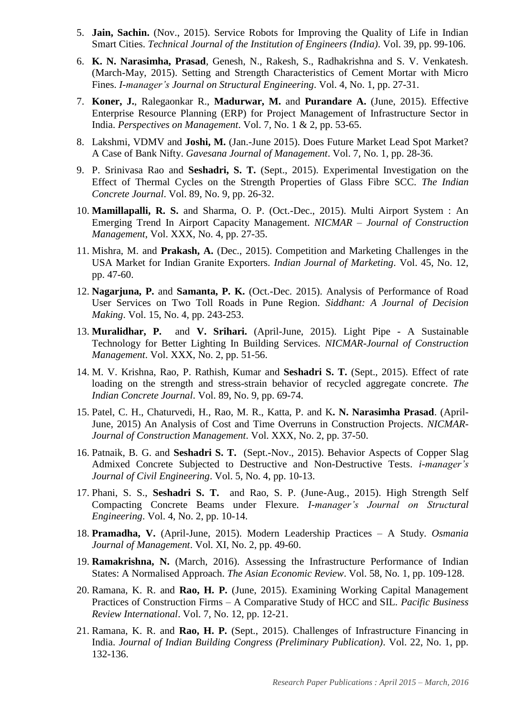- 5. **Jain, Sachin.** (Nov., 2015). Service Robots for Improving the Quality of Life in Indian Smart Cities. *Technical Journal of the Institution of Engineers (India)*. Vol. 39, pp. 99-106.
- 6. **K. N. Narasimha, Prasad**, Genesh, N., Rakesh, S., Radhakrishna and S. V. Venkatesh. (March-May, 2015). Setting and Strength Characteristics of Cement Mortar with Micro Fines. *I-manager's Journal on Structural Engineering*. Vol. 4, No. 1, pp. 27-31.
- 7. **Koner, J.**, Ralegaonkar R., **Madurwar, M.** and **Purandare A.** (June, 2015). Effective Enterprise Resource Planning (ERP) for Project Management of Infrastructure Sector in India. *Perspectives on Management*. Vol. 7, No. 1 & 2, pp. 53-65.
- 8. Lakshmi, VDMV and **Joshi, M.** (Jan.-June 2015). Does Future Market Lead Spot Market? A Case of Bank Nifty. *Gavesana Journal of Management*. Vol. 7, No. 1, pp. 28-36.
- 9. P. Srinivasa Rao and **Seshadri, S. T.** (Sept., 2015). Experimental Investigation on the Effect of Thermal Cycles on the Strength Properties of Glass Fibre SCC. *The Indian Concrete Journal*. Vol. 89, No. 9, pp. 26-32.
- 10. **Mamillapalli, R. S.** and Sharma, O. P. (Oct.-Dec., 2015). Multi Airport System : An Emerging Trend In Airport Capacity Management. *NICMAR – Journal of Construction Management*, Vol. XXX, No. 4, pp. 27-35.
- 11. Mishra, M. and **Prakash, A.** (Dec., 2015). Competition and Marketing Challenges in the USA Market for Indian Granite Exporters. *Indian Journal of Marketing*. Vol. 45, No. 12, pp. 47-60.
- 12. **Nagarjuna, P.** and **Samanta, P. K.** (Oct.-Dec. 2015). Analysis of Performance of Road User Services on Two Toll Roads in Pune Region. *Siddhant: A Journal of Decision Making*. Vol. 15, No. 4, pp. 243-253.
- 13. **Muralidhar, P.** and **V. Srihari.** (April-June, 2015). Light Pipe A Sustainable Technology for Better Lighting In Building Services. *NICMAR-Journal of Construction Management*. Vol. XXX, No. 2, pp. 51-56.
- 14. M. V. Krishna, Rao, P. Rathish, Kumar and **Seshadri S. T.** (Sept., 2015). Effect of rate loading on the strength and stress-strain behavior of recycled aggregate concrete. *The Indian Concrete Journal*. Vol. 89, No. 9, pp. 69-74.
- 15. Patel, C. H., Chaturvedi, H., Rao, M. R., Katta, P. and K**. N. Narasimha Prasad**. (April-June, 2015) An Analysis of Cost and Time Overruns in Construction Projects. *NICMAR-Journal of Construction Management*. Vol. XXX, No. 2, pp. 37-50.
- 16. Patnaik, B. G. and **Seshadri S. T.** (Sept.-Nov., 2015). Behavior Aspects of Copper Slag Admixed Concrete Subjected to Destructive and Non-Destructive Tests. *i-manager's Journal of Civil Engineering*. Vol. 5, No. 4, pp. 10-13.
- 17. Phani, S. S., **Seshadri S. T.** and Rao, S. P. (June-Aug., 2015). High Strength Self Compacting Concrete Beams under Flexure. *I-manager's Journal on Structural Engineering*. Vol. 4, No. 2, pp. 10-14.
- 18. **Pramadha, V.** (April-June, 2015). Modern Leadership Practices A Study. *Osmania Journal of Management*. Vol. XI, No. 2, pp. 49-60.
- 19. **Ramakrishna, N.** (March, 2016). Assessing the Infrastructure Performance of Indian States: A Normalised Approach. *The Asian Economic Review*. Vol. 58, No. 1, pp. 109-128.
- 20. Ramana, K. R. and **Rao, H. P.** (June, 2015). Examining Working Capital Management Practices of Construction Firms – A Comparative Study of HCC and SIL. *Pacific Business Review International*. Vol. 7, No. 12, pp. 12-21.
- 21. Ramana, K. R. and **Rao, H. P.** (Sept., 2015). Challenges of Infrastructure Financing in India. *Journal of Indian Building Congress (Preliminary Publication)*. Vol. 22, No. 1, pp. 132-136.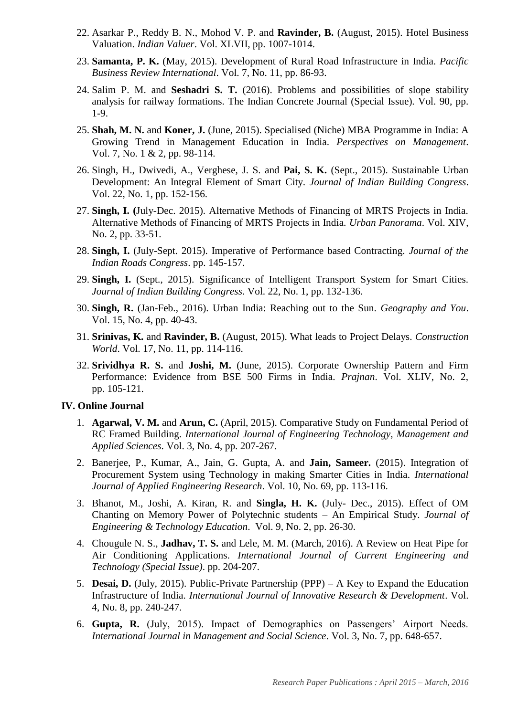- 22. Asarkar P., Reddy B. N., Mohod V. P. and **Ravinder, B.** (August, 2015). Hotel Business Valuation. *Indian Valuer*. Vol. XLVII, pp. 1007-1014.
- 23. **Samanta, P. K.** (May, 2015). Development of Rural Road Infrastructure in India. *Pacific Business Review International*. Vol. 7, No. 11, pp. 86-93.
- 24. Salim P. M. and **Seshadri S. T.** (2016). Problems and possibilities of slope stability analysis for railway formations. The Indian Concrete Journal (Special Issue). Vol. 90, pp. 1-9.
- 25. **Shah, M. N.** and **Koner, J.** (June, 2015). Specialised (Niche) MBA Programme in India: A Growing Trend in Management Education in India. *Perspectives on Management*. Vol. 7, No. 1 & 2, pp. 98-114.
- 26. Singh, H., Dwivedi, A., Verghese, J. S. and **Pai, S. K.** (Sept., 2015). Sustainable Urban Development: An Integral Element of Smart City. *Journal of Indian Building Congress*. Vol. 22, No. 1, pp. 152-156.
- 27. **Singh, I. (**July-Dec. 2015). Alternative Methods of Financing of MRTS Projects in India. Alternative Methods of Financing of MRTS Projects in India. *Urban Panorama*. Vol. XIV, No. 2, pp. 33-51.
- 28. **Singh, I.** (July-Sept. 2015). Imperative of Performance based Contracting. *Journal of the Indian Roads Congress*. pp. 145-157.
- 29. **Singh, I.** (Sept., 2015). Significance of Intelligent Transport System for Smart Cities. *Journal of Indian Building Congress*. Vol. 22, No. 1, pp. 132-136.
- 30. **Singh, R.** (Jan-Feb., 2016). Urban India: Reaching out to the Sun. *Geography and You*. Vol. 15, No. 4, pp. 40-43.
- 31. **Srinivas, K.** and **Ravinder, B.** (August, 2015). What leads to Project Delays. *Construction World*. Vol. 17, No. 11, pp. 114-116.
- 32. **Srividhya R. S.** and **Joshi, M.** (June, 2015). Corporate Ownership Pattern and Firm Performance: Evidence from BSE 500 Firms in India. *Prajnan*. Vol. XLIV, No. 2, pp. 105-121.

#### **IV. Online Journal**

- 1. **Agarwal, V. M.** and **Arun, C.** (April, 2015). Comparative Study on Fundamental Period of RC Framed Building. *International Journal of Engineering Technology, Management and Applied Sciences*. Vol. 3, No. 4, pp. 207-267.
- 2. Banerjee, P., Kumar, A., Jain, G. Gupta, A. and **Jain, Sameer.** (2015). Integration of Procurement System using Technology in making Smarter Cities in India. *International Journal of Applied Engineering Research*. Vol. 10, No. 69, pp. 113-116.
- 3. Bhanot, M., Joshi, A. Kiran, R. and **Singla, H. K.** (July- Dec., 2015). Effect of OM Chanting on Memory Power of Polytechnic students – An Empirical Study. *Journal of Engineering & Technology Education*. Vol. 9, No. 2, pp. 26-30.
- 4. Chougule N. S., **Jadhav, T. S.** and Lele, M. M. (March, 2016). A Review on Heat Pipe for Air Conditioning Applications. *International Journal of Current Engineering and Technology (Special Issue)*. pp. 204-207.
- 5. **Desai, D.** (July, 2015). Public-Private Partnership (PPP) A Key to Expand the Education Infrastructure of India. *International Journal of Innovative Research & Development*. Vol. 4, No. 8, pp. 240-247.
- 6. **Gupta, R.** (July, 2015). Impact of Demographics on Passengers' Airport Needs. *International Journal in Management and Social Science*. Vol. 3, No. 7, pp. 648-657.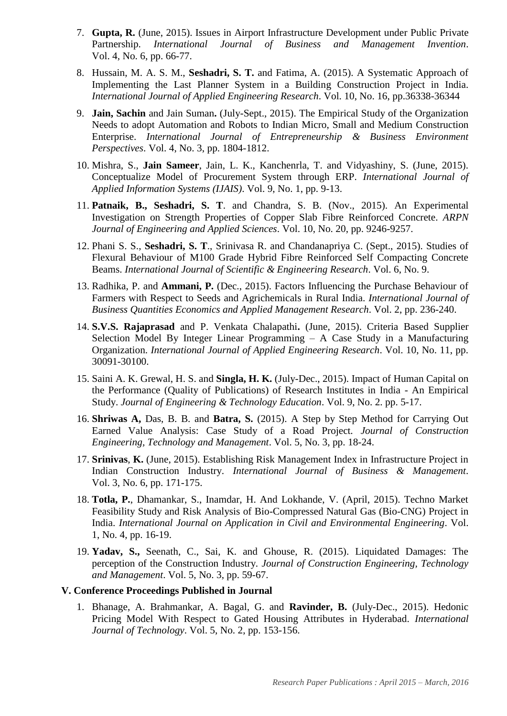- 7. **Gupta, R.** (June, 2015). Issues in Airport Infrastructure Development under Public Private Partnership. *International Journal of Business and Management Invention*. Vol. 4, No. 6, pp. 66-77.
- 8. Hussain, M. A. S. M., **Seshadri, S. T.** and Fatima, A. (2015). A Systematic Approach of Implementing the Last Planner System in a Building Construction Project in India. *International Journal of Applied Engineering Research*. Vol. 10, No. 16, pp.36338-36344
- 9. **Jain, Sachin** and Jain Suman**.** (July-Sept., 2015). The Empirical Study of the Organization Needs to adopt Automation and Robots to Indian Micro, Small and Medium Construction Enterprise. *International Journal of Entrepreneurship & Business Environment Perspectives*. Vol. 4, No. 3, pp. 1804-1812.
- 10. Mishra, S., **Jain Sameer**, Jain, L. K., Kanchenrla, T. and Vidyashiny, S. (June, 2015). Conceptualize Model of Procurement System through ERP. *International Journal of Applied Information Systems (IJAIS)*. Vol. 9, No. 1, pp. 9-13.
- 11. **Patnaik, B., Seshadri, S. T**. and Chandra, S. B. (Nov., 2015). An Experimental Investigation on Strength Properties of Copper Slab Fibre Reinforced Concrete. *ARPN Journal of Engineering and Applied Sciences*. Vol. 10, No. 20, pp. 9246-9257.
- 12. Phani S. S., **Seshadri, S. T**., Srinivasa R. and Chandanapriya C. (Sept., 2015). Studies of Flexural Behaviour of M100 Grade Hybrid Fibre Reinforced Self Compacting Concrete Beams. *International Journal of Scientific & Engineering Research*. Vol. 6, No. 9.
- 13. Radhika, P. and **Ammani, P.** (Dec., 2015). Factors Influencing the Purchase Behaviour of Farmers with Respect to Seeds and Agrichemicals in Rural India. *International Journal of Business Quantities Economics and Applied Management Research*. Vol. 2, pp. 236-240.
- 14. **S.V.S. Rajaprasad** and P. Venkata Chalapathi**.** (June, 2015). Criteria Based Supplier Selection Model By Integer Linear Programming – A Case Study in a Manufacturing Organization. *International Journal of Applied Engineering Research*. Vol. 10, No. 11, pp. 30091-30100.
- 15. Saini A. K. Grewal, H. S. and **Singla, H. K.** (July-Dec., 2015). Impact of Human Capital on the Performance (Quality of Publications) of Research Institutes in India - An Empirical Study. *Journal of Engineering & Technology Education*. Vol. 9, No. 2. pp. 5-17.
- 16. **Shriwas A,** Das, B. B. and **Batra, S.** (2015). A Step by Step Method for Carrying Out Earned Value Analysis: Case Study of a Road Project*. Journal of Construction Engineering, Technology and Management*. Vol. 5, No. 3, pp. 18-24.
- 17. **Srinivas**, **K.** (June, 2015). Establishing Risk Management Index in Infrastructure Project in Indian Construction Industry. *International Journal of Business & Management*. Vol. 3, No. 6, pp. 171-175.
- 18. **Totla, P.**, Dhamankar, S., Inamdar, H. And Lokhande, V. (April, 2015). Techno Market Feasibility Study and Risk Analysis of Bio-Compressed Natural Gas (Bio-CNG) Project in India. *International Journal on Application in Civil and Environmental Engineering*. Vol. 1, No. 4, pp. 16-19.
- 19. **Yadav, S.,** Seenath, C., Sai, K. and Ghouse, R. (2015). Liquidated Damages: The perception of the Construction Industry*. Journal of Construction Engineering, Technology and Management*. Vol. 5, No. 3, pp. 59-67.

## **V. Conference Proceedings Published in Journal**

1. Bhanage, A. Brahmankar, A. Bagal, G. and **Ravinder, B.** (July-Dec., 2015). Hedonic Pricing Model With Respect to Gated Housing Attributes in Hyderabad. *International Journal of Technology*. Vol. 5, No. 2, pp. 153-156.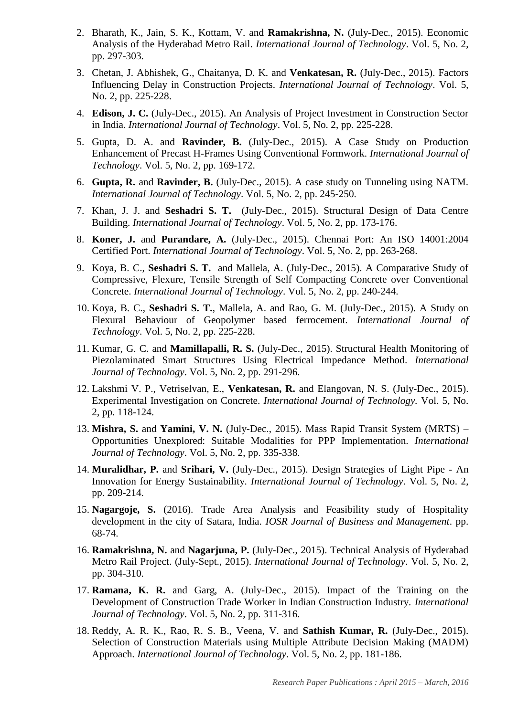- 2. Bharath, K., Jain, S. K., Kottam, V. and **Ramakrishna, N.** (July-Dec., 2015). Economic Analysis of the Hyderabad Metro Rail. *International Journal of Technology*. Vol. 5, No. 2, pp. 297-303.
- 3. Chetan, J. Abhishek, G., Chaitanya, D. K. and **Venkatesan, R.** (July-Dec., 2015). Factors Influencing Delay in Construction Projects. *International Journal of Technology*. Vol. 5, No. 2, pp. 225-228.
- 4. **Edison, J. C.** (July-Dec., 2015). An Analysis of Project Investment in Construction Sector in India. *International Journal of Technology*. Vol. 5, No. 2, pp. 225-228.
- 5. Gupta, D. A. and **Ravinder, B.** (July-Dec., 2015). A Case Study on Production Enhancement of Precast H-Frames Using Conventional Formwork. *International Journal of Technology*. Vol. 5, No. 2, pp. 169-172.
- 6. **Gupta, R.** and **Ravinder, B.** (July-Dec., 2015). A case study on Tunneling using NATM. *International Journal of Technology*. Vol. 5, No. 2, pp. 245-250.
- 7. Khan, J. J. and **Seshadri S. T.** (July-Dec., 2015). Structural Design of Data Centre Building. *International Journal of Technology*. Vol. 5, No. 2, pp. 173-176.
- 8. **Koner, J.** and **Purandare, A.** (July-Dec., 2015). Chennai Port: An ISO 14001:2004 Certified Port. *International Journal of Technology*. Vol. 5, No. 2, pp. 263-268.
- 9. Koya, B. C., **Seshadri S. T.** and Mallela, A. (July-Dec., 2015). A Comparative Study of Compressive, Flexure, Tensile Strength of Self Compacting Concrete over Conventional Concrete. *International Journal of Technology*. Vol. 5, No. 2, pp. 240-244.
- 10. Koya, B. C., **Seshadri S. T.**, Mallela, A. and Rao, G. M. (July-Dec., 2015). A Study on Flexural Behaviour of Geopolymer based ferrocement. *International Journal of Technology*. Vol. 5, No. 2, pp. 225-228.
- 11. Kumar, G. C. and **Mamillapalli, R. S.** (July-Dec., 2015). Structural Health Monitoring of Piezolaminated Smart Structures Using Electrical Impedance Method. *International Journal of Technology*. Vol. 5, No. 2, pp. 291-296.
- 12. Lakshmi V. P., Vetriselvan, E., **Venkatesan, R.** and Elangovan, N. S. (July-Dec., 2015). Experimental Investigation on Concrete. *International Journal of Technology.* Vol. 5, No. 2, pp. 118-124.
- 13. **Mishra, S.** and **Yamini, V. N.** (July-Dec., 2015). Mass Rapid Transit System (MRTS) Opportunities Unexplored: Suitable Modalities for PPP Implementation. *International Journal of Technology*. Vol. 5, No. 2, pp. 335-338.
- 14. **Muralidhar, P.** and **Srihari, V.** (July-Dec., 2015). Design Strategies of Light Pipe An Innovation for Energy Sustainability. *International Journal of Technology*. Vol. 5, No. 2, pp. 209-214.
- 15. **Nagargoje, S.** (2016). Trade Area Analysis and Feasibility study of Hospitality development in the city of Satara, India. *IOSR Journal of Business and Management*. pp. 68-74.
- 16. **Ramakrishna, N.** and **Nagarjuna, P.** (July-Dec., 2015). Technical Analysis of Hyderabad Metro Rail Project. (July-Sept., 2015). *International Journal of Technology*. Vol. 5, No. 2, pp. 304-310.
- 17. **Ramana, K. R.** and Garg, A. (July-Dec., 2015). Impact of the Training on the Development of Construction Trade Worker in Indian Construction Industry. *International Journal of Technology*. Vol. 5, No. 2, pp. 311-316.
- 18. Reddy, A. R. K., Rao, R. S. B., Veena, V. and **Sathish Kumar, R.** (July-Dec., 2015). Selection of Construction Materials using Multiple Attribute Decision Making (MADM) Approach. *International Journal of Technology*. Vol. 5, No. 2, pp. 181-186.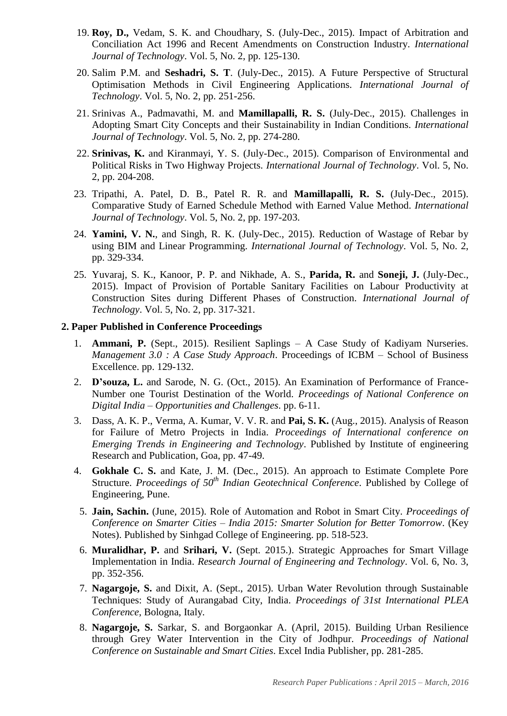- 19. **Roy, D.,** Vedam, S. K. and Choudhary, S. (July-Dec., 2015). Impact of Arbitration and Conciliation Act 1996 and Recent Amendments on Construction Industry. *International Journal of Technology*. Vol. 5, No. 2, pp. 125-130.
- 20. Salim P.M. and **Seshadri, S. T**. (July-Dec., 2015). A Future Perspective of Structural Optimisation Methods in Civil Engineering Applications. *International Journal of Technology*. Vol. 5, No. 2, pp. 251-256.
- 21. Srinivas A., Padmavathi, M. and **Mamillapalli, R. S.** (July-Dec., 2015). Challenges in Adopting Smart City Concepts and their Sustainability in Indian Conditions. *International Journal of Technology*. Vol. 5, No. 2, pp. 274-280.
- 22. **Srinivas, K.** and Kiranmayi, Y. S. (July-Dec., 2015). Comparison of Environmental and Political Risks in Two Highway Projects. *International Journal of Technology*. Vol. 5, No. 2, pp. 204-208.
- 23. Tripathi, A. Patel, D. B., Patel R. R. and **Mamillapalli, R. S.** (July-Dec., 2015). Comparative Study of Earned Schedule Method with Earned Value Method. *International Journal of Technology*. Vol. 5, No. 2, pp. 197-203.
- 24. **Yamini, V. N.**, and Singh, R. K. (July-Dec., 2015). Reduction of Wastage of Rebar by using BIM and Linear Programming. *International Journal of Technology*. Vol. 5, No. 2, pp. 329-334.
- 25. Yuvaraj, S. K., Kanoor, P. P. and Nikhade, A. S., **Parida, R.** and **Soneji, J.** (July-Dec., 2015). Impact of Provision of Portable Sanitary Facilities on Labour Productivity at Construction Sites during Different Phases of Construction. *International Journal of Technology*. Vol. 5, No. 2, pp. 317-321.

#### **2. Paper Published in Conference Proceedings**

- 1. **Ammani, P.** (Sept., 2015). Resilient Saplings A Case Study of Kadiyam Nurseries. *Management 3.0 : A Case Study Approach*. Proceedings of ICBM – School of Business Excellence. pp. 129-132.
- 2. **D'souza, L.** and Sarode, N. G. (Oct., 2015). An Examination of Performance of France-Number one Tourist Destination of the World. *Proceedings of National Conference on Digital India – Opportunities and Challenges*. pp. 6-11.
- 3. Dass, A. K. P., Verma, A. Kumar, V. V. R. and **Pai, S. K.** (Aug., 2015). Analysis of Reason for Failure of Metro Projects in India. *Proceedings of International conference on Emerging Trends in Engineering and Technology*. Published by Institute of engineering Research and Publication, Goa, pp. 47-49.
- 4. **Gokhale C. S.** and Kate, J. M. (Dec., 2015). An approach to Estimate Complete Pore Structure. *Proceedings of 50<sup>th</sup> Indian Geotechnical Conference*. Published by College of Engineering, Pune.
	- 5. **Jain, Sachin.** (June, 2015). Role of Automation and Robot in Smart City. *Proceedings of Conference on Smarter Cities – India 2015: Smarter Solution for Better Tomorrow*. (Key Notes). Published by Sinhgad College of Engineering. pp. 518-523.
	- 6. **Muralidhar, P.** and **Srihari, V.** (Sept. 2015.). Strategic Approaches for Smart Village Implementation in India. *Research Journal of Engineering and Technology*. Vol. 6, No. 3, pp. 352-356.
	- 7. **Nagargoje, S.** and Dixit, A. (Sept., 2015). Urban Water Revolution through Sustainable Techniques: Study of Aurangabad City, India. *Proceedings of 31st International PLEA Conference,* Bologna, Italy*.*
	- 8. **Nagargoje, S.** Sarkar, S. and Borgaonkar A. (April, 2015). Building Urban Resilience through Grey Water Intervention in the City of Jodhpur. *Proceedings of National Conference on Sustainable and Smart Cities*. Excel India Publisher, pp. 281-285.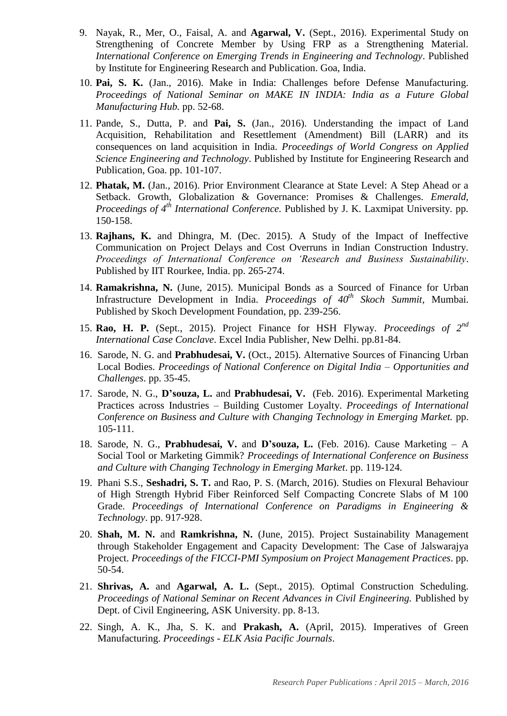- 9. Nayak, R., Mer, O., Faisal, A. and **Agarwal, V.** (Sept., 2016). Experimental Study on Strengthening of Concrete Member by Using FRP as a Strengthening Material. *International Conference on Emerging Trends in Engineering and Technology*. Published by Institute for Engineering Research and Publication. Goa, India.
- 10. **Pai, S. K.** (Jan., 2016). Make in India: Challenges before Defense Manufacturing. *Proceedings of National Seminar on MAKE IN INDIA: India as a Future Global Manufacturing Hub.* pp. 52-68.
- 11. Pande, S., Dutta, P. and **Pai, S.** (Jan., 2016). Understanding the impact of Land Acquisition, Rehabilitation and Resettlement (Amendment) Bill (LARR) and its consequences on land acquisition in India. *Proceedings of World Congress on Applied Science Engineering and Technology*. Published by Institute for Engineering Research and Publication, Goa. pp. 101-107.
- 12. **Phatak, M.** (Jan., 2016). Prior Environment Clearance at State Level: A Step Ahead or a Setback. Growth, Globalization & Governance: Promises & Challenges. *Emerald, Proceedings of 4th International Conference.* Published by J. K. Laxmipat University. pp. 150-158.
- 13. **Rajhans, K.** and Dhingra, M. (Dec. 2015). A Study of the Impact of Ineffective Communication on Project Delays and Cost Overruns in Indian Construction Industry. *Proceedings of International Conference on 'Research and Business Sustainability*. Published by IIT Rourkee, India. pp. 265-274.
- 14. **Ramakrishna, N.** (June, 2015). Municipal Bonds as a Sourced of Finance for Urban Infrastructure Development in India. *Proceedings of 40th Skoch Summit*, Mumbai. Published by Skoch Development Foundation, pp. 239-256.
- 15. **Rao, H. P.** (Sept., 2015). Project Finance for HSH Flyway. *Proceedings of 2nd International Case Conclave*. Excel India Publisher, New Delhi. pp.81-84.
- 16. Sarode, N. G. and **Prabhudesai, V.** (Oct., 2015). Alternative Sources of Financing Urban Local Bodies. *Proceedings of National Conference on Digital India – Opportunities and Challenges*. pp. 35-45.
- 17. Sarode, N. G., **D'souza, L.** and **Prabhudesai, V.** (Feb. 2016). Experimental Marketing Practices across Industries – Building Customer Loyalty. *Proceedings of International Conference on Business and Culture with Changing Technology in Emerging Market.* pp. 105-111.
- 18. Sarode, N. G., **Prabhudesai, V.** and **D'souza, L.** (Feb. 2016). Cause Marketing A Social Tool or Marketing Gimmik? *Proceedings of International Conference on Business and Culture with Changing Technology in Emerging Market*. pp. 119-124.
- 19. Phani S.S., **Seshadri, S. T.** and Rao, P. S. (March, 2016). Studies on Flexural Behaviour of High Strength Hybrid Fiber Reinforced Self Compacting Concrete Slabs of M 100 Grade. *Proceedings of International Conference on Paradigms in Engineering & Technology*. pp. 917-928.
- 20. **Shah, M. N.** and **Ramkrishna, N.** (June, 2015). Project Sustainability Management through Stakeholder Engagement and Capacity Development: The Case of Jalswarajya Project. *Proceedings of the FICCI-PMI Symposium on Project Management Practices*. pp. 50-54.
- 21. **Shrivas, A.** and **Agarwal, A. L.** (Sept., 2015). Optimal Construction Scheduling. *Proceedings of National Seminar on Recent Advances in Civil Engineering.* Published by Dept. of Civil Engineering, ASK University. pp. 8-13.
- 22. Singh, A. K., Jha, S. K. and **Prakash, A.** (April, 2015). Imperatives of Green Manufacturing. *Proceedings - ELK Asia Pacific Journals*.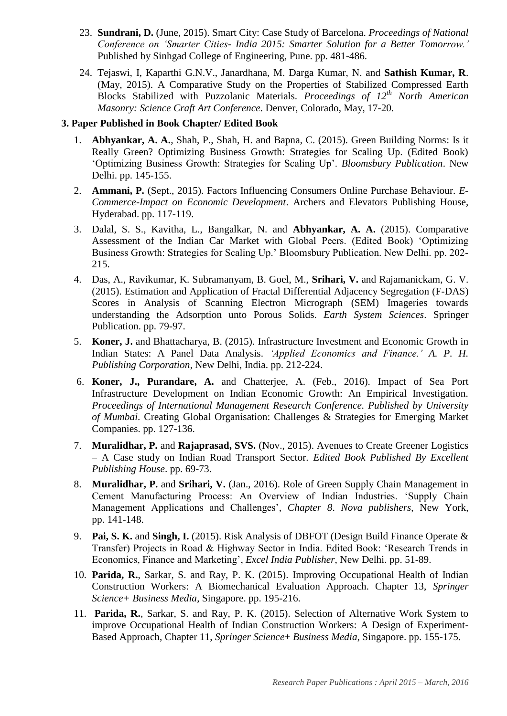- 23. **Sundrani, D.** (June, 2015). Smart City: Case Study of Barcelona. *Proceedings of National Conference on 'Smarter Cities- India 2015: Smarter Solution for a Better Tomorrow.'* Published by Sinhgad College of Engineering, Pune. pp. 481-486.
- 24. Tejaswi, I, Kaparthi G.N.V., Janardhana, M. Darga Kumar, N. and **Sathish Kumar, R**. (May, 2015). A Comparative Study on the Properties of Stabilized Compressed Earth Blocks Stabilized with Puzzolanic Materials. *Proceedings of 12th North American Masonry: Science Craft Art Conference*. Denver, Colorado, May, 17-20.

## **3. Paper Published in Book Chapter/ Edited Book**

- 1. **Abhyankar, A. A.**, Shah, P., Shah, H. and Bapna, C. (2015). Green Building Norms: Is it Really Green? Optimizing Business Growth: Strategies for Scaling Up. (Edited Book) 'Optimizing Business Growth: Strategies for Scaling Up'. *Bloomsbury Publication*. New Delhi. pp. 145-155.
- 2. **Ammani, P.** (Sept., 2015). Factors Influencing Consumers Online Purchase Behaviour. *E-Commerce-Impact on Economic Development*. Archers and Elevators Publishing House, Hyderabad. pp. 117-119.
- 3. Dalal, S. S., Kavitha, L., Bangalkar, N. and **Abhyankar, A. A.** (2015). Comparative Assessment of the Indian Car Market with Global Peers. (Edited Book) 'Optimizing Business Growth: Strategies for Scaling Up.' Bloomsbury Publication. New Delhi. pp. 202- 215.
- 4. Das, A., Ravikumar, K. Subramanyam, B. Goel, M., **Srihari, V.** and Rajamanickam, G. V. (2015). Estimation and Application of Fractal Differential Adjacency Segregation (F-DAS) Scores in Analysis of Scanning Electron Micrograph (SEM) Imageries towards understanding the Adsorption unto Porous Solids. *Earth System Sciences*. Springer Publication. pp. 79-97.
- 5. **Koner, J.** and Bhattacharya, B. (2015). Infrastructure Investment and Economic Growth in Indian States: A Panel Data Analysis. *'Applied Economics and Finance.' A. P. H. Publishing Corporation*, New Delhi, India. pp. 212-224.
- 6. **Koner, J., Purandare, A.** and Chatterjee, A. (Feb., 2016). Impact of Sea Port Infrastructure Development on Indian Economic Growth: An Empirical Investigation. *Proceedings of International Management Research Conference. Published by University of Mumbai*. Creating Global Organisation: Challenges & Strategies for Emerging Market Companies. pp. 127-136.
- 7. **Muralidhar, P.** and **Rajaprasad, SVS.** (Nov., 2015). Avenues to Create Greener Logistics – A Case study on Indian Road Transport Sector. *Edited Book Published By Excellent Publishing House*. pp. 69-73.
- 8. **Muralidhar, P.** and **Srihari, V.** (Jan., 2016). Role of Green Supply Chain Management in Cement Manufacturing Process: An Overview of Indian Industries. 'Supply Chain Management Applications and Challenges'*, Chapter 8*. *Nova publishers*, New York, pp. 141-148.
- 9. **Pai, S. K.** and **Singh, I.** (2015). Risk Analysis of DBFOT (Design Build Finance Operate & Transfer) Projects in Road & Highway Sector in India. Edited Book: 'Research Trends in Economics, Finance and Marketing', *Excel India Publisher*, New Delhi. pp. 51-89.
- 10. **Parida, R.**, Sarkar, S. and Ray, P. K. (2015). Improving Occupational Health of Indian Construction Workers: A Biomechanical Evaluation Approach. Chapter 13, *Springer Science+ Business Media*, Singapore. pp. 195-216.
- 11. **Parida, R.**, Sarkar, S. and Ray, P. K. (2015). Selection of Alternative Work System to improve Occupational Health of Indian Construction Workers: A Design of Experiment-Based Approach, Chapter 11, *Springer Science*+ *Business Media*, Singapore. pp. 155-175.